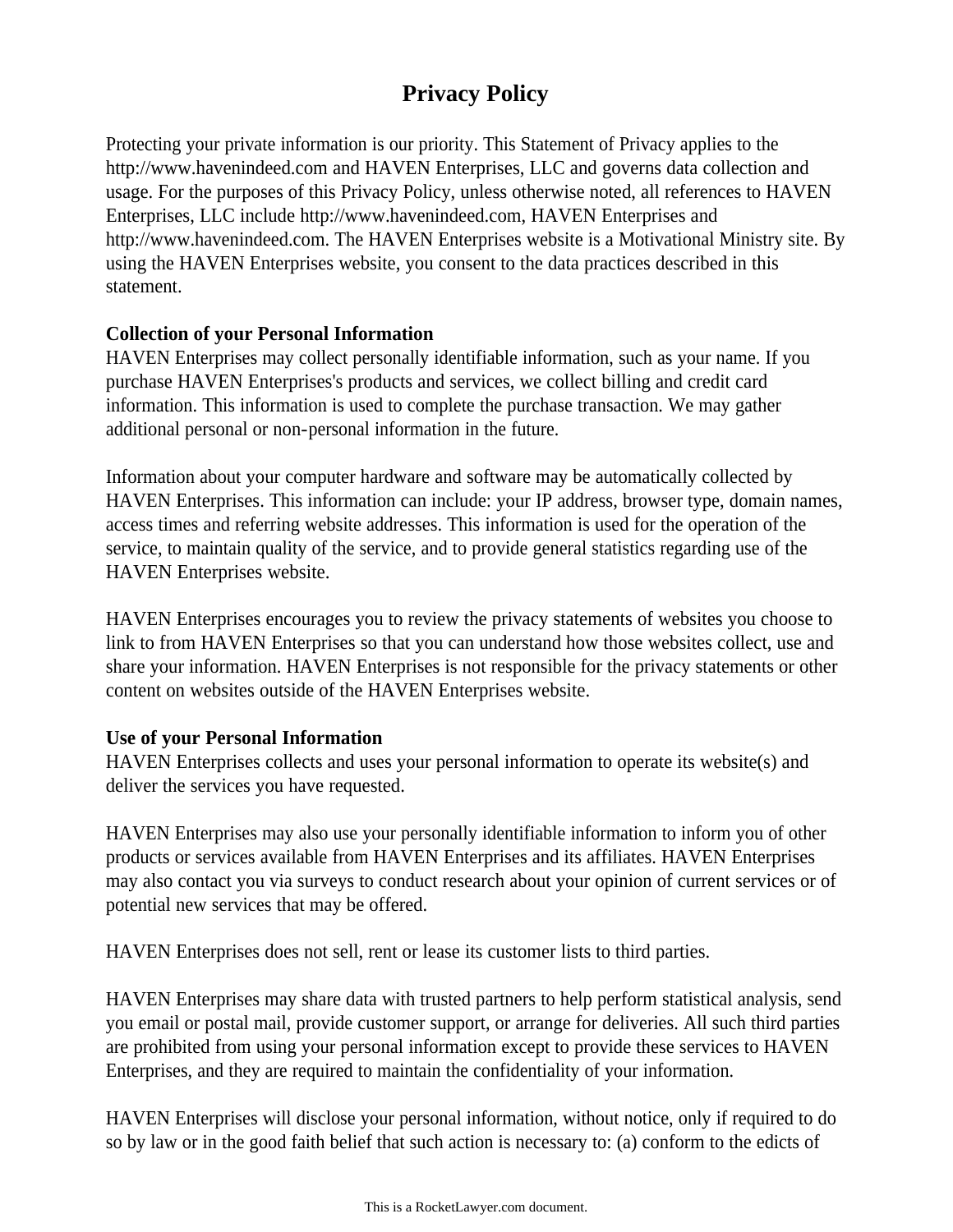# **Privacy Policy**

Protecting your private information is our priority. This Statement of Privacy applies to the http://www.havenindeed.com and HAVEN Enterprises, LLC and governs data collection and usage. For the purposes of this Privacy Policy, unless otherwise noted, all references to HAVEN Enterprises, LLC include http://www.havenindeed.com, HAVEN Enterprises and http://www.havenindeed.com. The HAVEN Enterprises website is a Motivational Ministry site. By using the HAVEN Enterprises website, you consent to the data practices described in this statement.

# **Collection of your Personal Information**

HAVEN Enterprises may collect personally identifiable information, such as your name. If you purchase HAVEN Enterprises's products and services, we collect billing and credit card information. This information is used to complete the purchase transaction. We may gather additional personal or non-personal information in the future.

Information about your computer hardware and software may be automatically collected by HAVEN Enterprises. This information can include: your IP address, browser type, domain names, access times and referring website addresses. This information is used for the operation of the service, to maintain quality of the service, and to provide general statistics regarding use of the HAVEN Enterprises website.

HAVEN Enterprises encourages you to review the privacy statements of websites you choose to link to from HAVEN Enterprises so that you can understand how those websites collect, use and share your information. HAVEN Enterprises is not responsible for the privacy statements or other content on websites outside of the HAVEN Enterprises website.

#### **Use of your Personal Information**

HAVEN Enterprises collects and uses your personal information to operate its website(s) and deliver the services you have requested.

HAVEN Enterprises may also use your personally identifiable information to inform you of other products or services available from HAVEN Enterprises and its affiliates. HAVEN Enterprises may also contact you via surveys to conduct research about your opinion of current services or of potential new services that may be offered.

HAVEN Enterprises does not sell, rent or lease its customer lists to third parties.

HAVEN Enterprises may share data with trusted partners to help perform statistical analysis, send you email or postal mail, provide customer support, or arrange for deliveries. All such third parties are prohibited from using your personal information except to provide these services to HAVEN Enterprises, and they are required to maintain the confidentiality of your information.

HAVEN Enterprises will disclose your personal information, without notice, only if required to do so by law or in the good faith belief that such action is necessary to: (a) conform to the edicts of